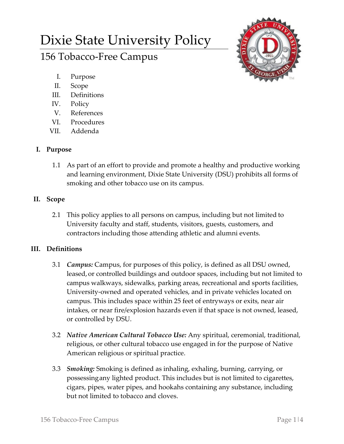# Dixie State University Policy

## 156 Tobacco-Free Campus



- I. Purpose
- II. Scope
- III. Definitions
- IV. Policy
- V. References
- VI. Procedures
- VII. Addenda

### **I. Purpose**

- 1.1 As part of an effort to provide and promote a healthy and productive working and learning environment, Dixie State University (DSU) prohibits all forms of smoking and other tobacco use on its campus.
- **II. Scope**
	- 2.1 This policy applies to all persons on campus, including but not limited to University faculty and staff, students, visitors, guests, customers, and contractors including those attending athletic and alumni events.

#### **III. Definitions**

- 3.1 *Campus:* Campus, for purposes of this policy, is defined as all DSU owned, leased, or controlled buildings and outdoor spaces, including but not limited to campus walkways, sidewalks, parking areas, recreational and sports facilities, University-owned and operated vehicles, and in private vehicles located on campus. This includes space within 25 feet of entryways or exits, near air intakes, or near fire/explosion hazards even if that space is not owned, leased, or controlled by DSU.
- 3.2 *Native American Cultural Tobacco Use:* Any spiritual, ceremonial, traditional, religious, or other cultural tobacco use engaged in for the purpose of Native American religious or spiritual practice.
- 3.3 *Smoking:* Smoking is defined as inhaling, exhaling, burning, carrying, or possessingany lighted product. This includes but is not limited to cigarettes, cigars, pipes, water pipes, and hookahs containing any substance, including but not limited to tobacco and cloves.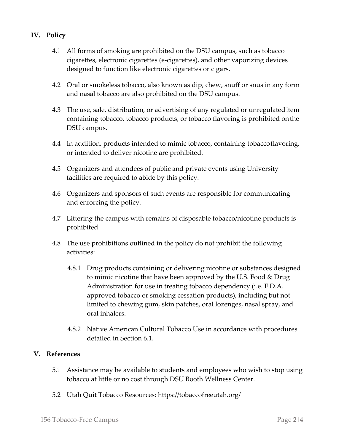#### **IV. Policy**

- 4.1 All forms of smoking are prohibited on the DSU campus, such as tobacco cigarettes, electronic cigarettes (e-cigarettes), and other vaporizing devices designed to function like electronic cigarettes or cigars.
- 4.2 Oral or smokeless tobacco, also known as dip, chew, snuff or snus in any form and nasal tobacco are also prohibited on the DSU campus.
- 4.3 The use, sale, distribution, or advertising of any regulated or unregulateditem containing tobacco, tobacco products, or tobacco flavoring is prohibited onthe DSU campus.
- 4.4 In addition, products intended to mimic tobacco, containing tobaccoflavoring, or intended to deliver nicotine are prohibited.
- 4.5 Organizers and attendees of public and private events using University facilities are required to abide by this policy.
- 4.6 Organizers and sponsors of such events are responsible for communicating and enforcing the policy.
- 4.7 Littering the campus with remains of disposable tobacco/nicotine products is prohibited.
- 4.8 The use prohibitions outlined in the policy do not prohibit the following activities:
	- 4.8.1 Drug products containing or delivering nicotine or substances designed to mimic nicotine that have been approved by the U.S. Food & Drug Administration for use in treating tobacco dependency (i.e. F.D.A. approved tobacco or smoking cessation products), including but not limited to chewing gum, skin patches, oral lozenges, nasal spray, and oral inhalers.
	- 4.8.2 Native American Cultural Tobacco Use in accordance with procedures detailed in Section 6.1.

#### **V. References**

- 5.1 Assistance may be available to students and employees who wish to stop using tobacco at little or no cost through DSU Booth Wellness Center.
- 5.2 Utah Quit Tobacco Resources: <https://tobaccofreeutah.org/>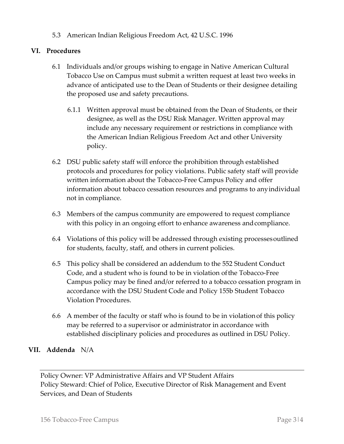5.3 American Indian Religious Freedom Act, 42 U.S.C. 1996

#### **VI. Procedures**

- 6.1 Individuals and/or groups wishing to engage in Native American Cultural Tobacco Use on Campus must submit a written request at least two weeks in advance of anticipated use to the Dean of Students or their designee detailing the proposed use and safety precautions.
	- 6.1.1 Written approval must be obtained from the Dean of Students, or their designee, as well as the DSU Risk Manager. Written approval may include any necessary requirement or restrictions in compliance with the American Indian Religious Freedom Act and other University policy.
- 6.2 DSU public safety staff will enforce the prohibition through established protocols and procedures for policy violations. Public safety staff will provide written information about the Tobacco-Free Campus Policy and offer information about tobacco cessation resources and programs to anyindividual not in compliance.
- 6.3 Members of the campus community are empowered to request compliance with this policy in an ongoing effort to enhance awareness and compliance.
- 6.4 Violations of this policy will be addressed through existing processesoutlined for students, faculty, staff, and others in current policies.
- 6.5 This policy shall be considered an addendum to the 552 Student Conduct Code, and a student who is found to be in violation ofthe Tobacco-Free Campus policy may be fined and/or referred to a tobacco cessation program in accordance with the DSU Student Code and Policy 155b Student Tobacco Violation Procedures.
- 6.6 A member of the faculty or staff who is found to be in violationof this policy may be referred to a supervisor or administrator in accordance with established disciplinary policies and procedures as outlined in DSU Policy.

#### **VII. Addenda** N/A

Policy Owner: VP Administrative Affairs and VP Student Affairs Policy Steward: Chief of Police, Executive Director of Risk Management and Event Services, and Dean of Students